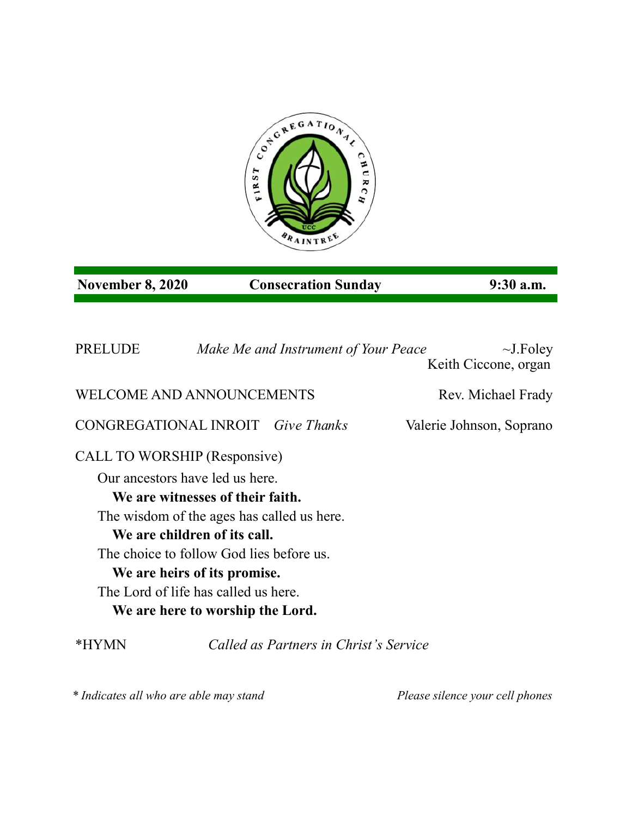

## **November 8, 2020 Consecration Sunday 9:30 a.m.**

PRELUDE *Make Me and Instrument of Your Peace* ~J.Foley Keith Ciccone, organ WELCOME AND ANNOUNCEMENTS Rev. Michael Frady CONGREGATIONAL INROIT *Give Thanks* Valerie Johnson, Soprano CALL TO WORSHIP (Responsive) Our ancestors have led us here. **We are witnesses of their faith.** The wisdom of the ages has called us here. **We are children of its call.** The choice to follow God lies before us. **We are heirs of its promise.** The Lord of life has called us here. **We are here to worship the Lord.**

\*HYMN *Called as Partners in Christ's Service*

*\* Indicates all who are able may stand Please silence your cell phones*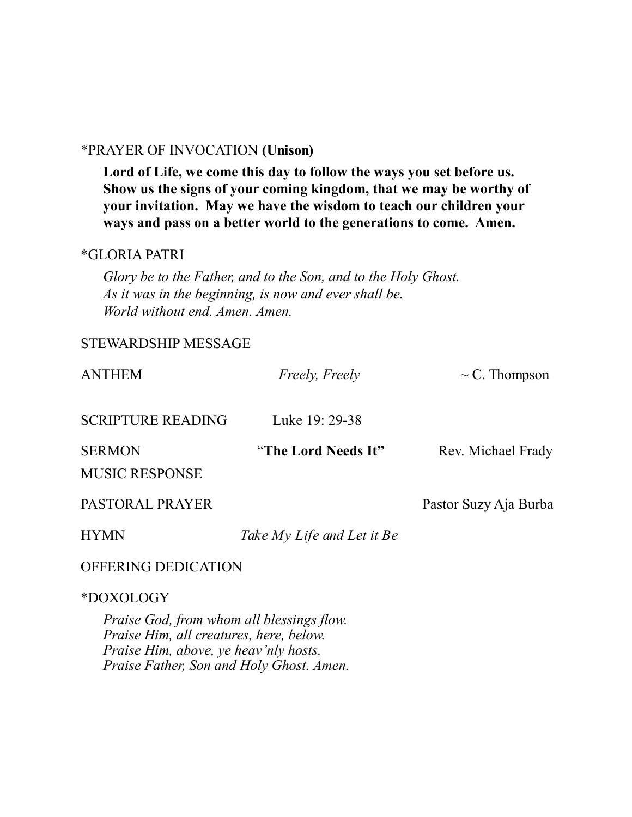### \*PRAYER OF INVOCATION **(Unison)**

**Lord of Life, we come this day to follow the ways you set before us. Show us the signs of your coming kingdom, that we may be worthy of your invitation. May we have the wisdom to teach our children your ways and pass on a better world to the generations to come. Amen.** 

#### \*GLORIA PATRI

*Glory be to the Father, and to the Son, and to the Holy Ghost. As it was in the beginning, is now and ever shall be. World without end. Amen. Amen.* 

### STEWARDSHIP MESSAGE

| <b>ANTHEM</b>                          | Freely, Freely             | $\sim$ C. Thompson    |
|----------------------------------------|----------------------------|-----------------------|
| <b>SCRIPTURE READING</b>               | Luke 19: 29-38             |                       |
| <b>SERMON</b><br><b>MUSIC RESPONSE</b> | "The Lord Needs It"        | Rev. Michael Frady    |
| PASTORAL PRAYER                        |                            | Pastor Suzy Aja Burba |
| <b>HYMN</b>                            | Take My Life and Let it Be |                       |
| OFFERING DEDICATION                    |                            |                       |

#### \*DOXOLOGY

*Praise God, from whom all blessings flow. Praise Him, all creatures, here, below. Praise Him, above, ye heav'nly hosts. Praise Father, Son and Holy Ghost. Amen.*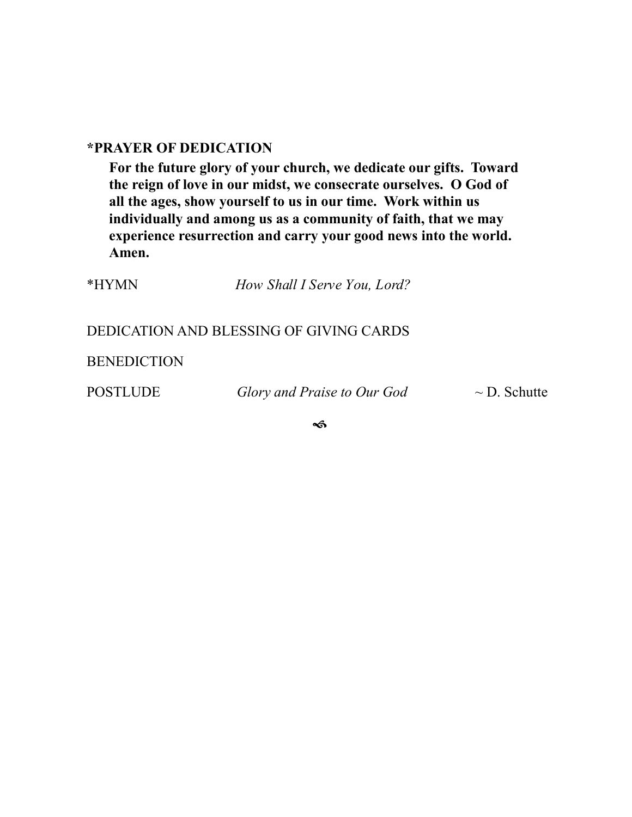## **\*PRAYER OF DEDICATION**

**For the future glory of your church, we dedicate our gifts. Toward the reign of love in our midst, we consecrate ourselves. O God of all the ages, show yourself to us in our time. Work within us individually and among us as a community of faith, that we may experience resurrection and carry your good news into the world. Amen.**

| *HYMN | How Shall I Serve You, Lord?            |  |  |
|-------|-----------------------------------------|--|--|
|       |                                         |  |  |
|       | DEDICATION AND BLESSING OF GIVING CARDS |  |  |

**BENEDICTION** 

POSTLUDE *Glory and Praise to Our God* ~ D. Schutte

 $\rightsquigarrow$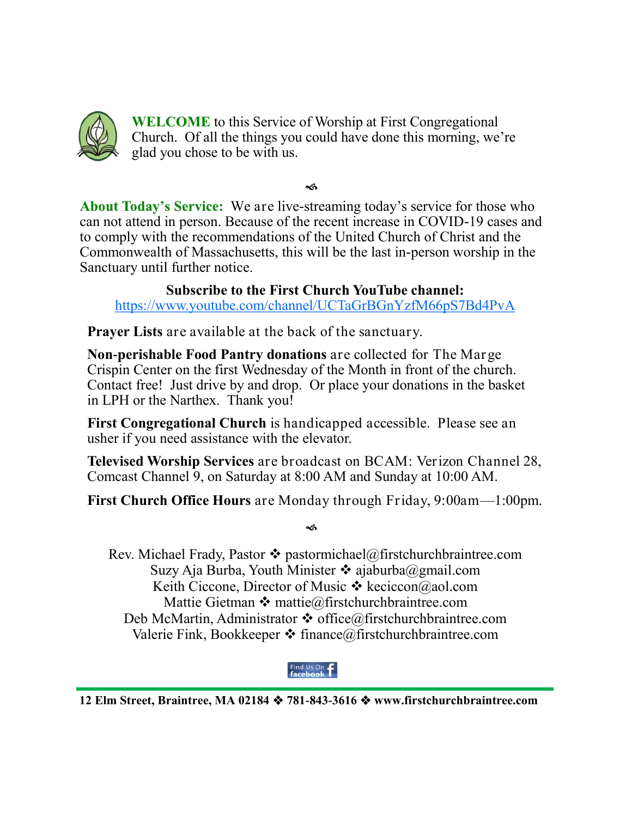

**WELCOME** to this Service of Worship at First Congregational Church. Of all the things you could have done this morning, we're glad you chose to be with us.

ิช

About Today's Service: We are live-streaming today's service for those who can not attend in person. Because of the recent increase in COVID-19 cases and to comply with the recommendations of the United Church of Christ and the Commonwealth of Massachusetts, this will be the last in-person worship in the Sanctuary until further notice.

**Subscribe to the First Church YouTube channel:**  <https://www.youtube.com/channel/UCTaGrBGnYzfM66pS7Bd4PvA>

**Prayer Lists** are available at the back of the sanctuary.

**Non-perishable Food Pantry donations** are collected for The Marge Crispin Center on the first Wednesday of the Month in front of the church. Contact free! Just drive by and drop. Or place your donations in the basket in LPH or the Narthex. Thank you!

**First Congregational Church** is handicapped accessible. Please see an usher if you need assistance with the elevator.

**Televised Worship Services** are broadcast on BCAM: Verizon Channel 28, Comcast Channel 9, on Saturday at 8:00 AM and Sunday at 10:00 AM.

**First Church Office Hours** are Monday through Friday, 9:00am—1:00pm.

ิช

Rev. Michael Frady, Pastor  $\triangle$  pastormichael@firstchurchbraintree.com Suzy Aja Burba, Youth Minister  $\cdot \cdot$  ajaburba@gmail.com Keith Ciccone, Director of Music  $\mathbf{\hat{P}}$  keciccon@aol.com Mattie Gietman  $\clubsuit$  [mattie@firstchurchbraintree.com](mailto:mattie@firstchurchbraintree.com) Deb McMartin, Administrator  $\triangle$  office@firstchurchbraintree.com Valerie Fink, Bookkeeper  $\triangleleft$  finance@firstchurchbraintree.com

# Find Us On  $\mathbf{f}$

**12 Elm Street, Braintree, MA 02184 781-843-3616 www.firstchurchbraintree.com**